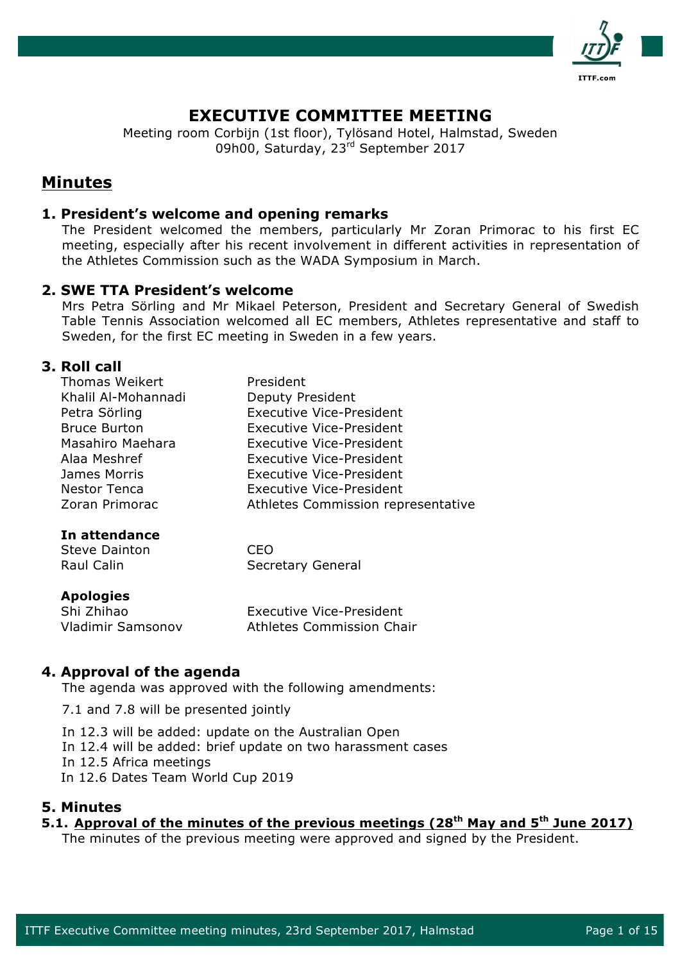

# **EXECUTIVE COMMITTEE MEETING**

Meeting room Corbijn (1st floor), Tylösand Hotel, Halmstad, Sweden 09h00, Saturday, 23rd September 2017

# **Minutes**

## **1. President's welcome and opening remarks**

The President welcomed the members, particularly Mr Zoran Primorac to his first EC meeting, especially after his recent involvement in different activities in representation of the Athletes Commission such as the WADA Symposium in March.

## **2. SWE TTA President's welcome**

Mrs Petra Sörling and Mr Mikael Peterson, President and Secretary General of Swedish Table Tennis Association welcomed all EC members, Athletes representative and staff to Sweden, for the first EC meeting in Sweden in a few years.

## **3. Roll call**

| Thomas Weikert      | President                          |
|---------------------|------------------------------------|
| Khalil Al-Mohannadi | Deputy President                   |
| Petra Sörling       | <b>Executive Vice-President</b>    |
| <b>Bruce Burton</b> | <b>Executive Vice-President</b>    |
| Masahiro Maehara    | <b>Executive Vice-President</b>    |
| Alaa Meshref        | <b>Executive Vice-President</b>    |
| James Morris        | <b>Executive Vice-President</b>    |
| <b>Nestor Tenca</b> | <b>Executive Vice-President</b>    |
| Zoran Primorac      | Athletes Commission representative |
|                     |                                    |

## **In attendance**

| Steve Dainton | CEO                      |
|---------------|--------------------------|
| Raul Calin    | <b>Secretary General</b> |

## **Apologies**

| Shi Zhihao        | <b>Executive Vice-President</b> |
|-------------------|---------------------------------|
| Vladimir Samsonov | Athletes Commission Chair       |

## **4. Approval of the agenda**

The agenda was approved with the following amendments:

7.1 and 7.8 will be presented jointly

In 12.3 will be added: update on the Australian Open

In 12.4 will be added: brief update on two harassment cases

In 12.5 Africa meetings

In 12.6 Dates Team World Cup 2019

## **5. Minutes**

## **5.1. Approval of the minutes of the previous meetings (28th May and 5th June 2017)**

The minutes of the previous meeting were approved and signed by the President.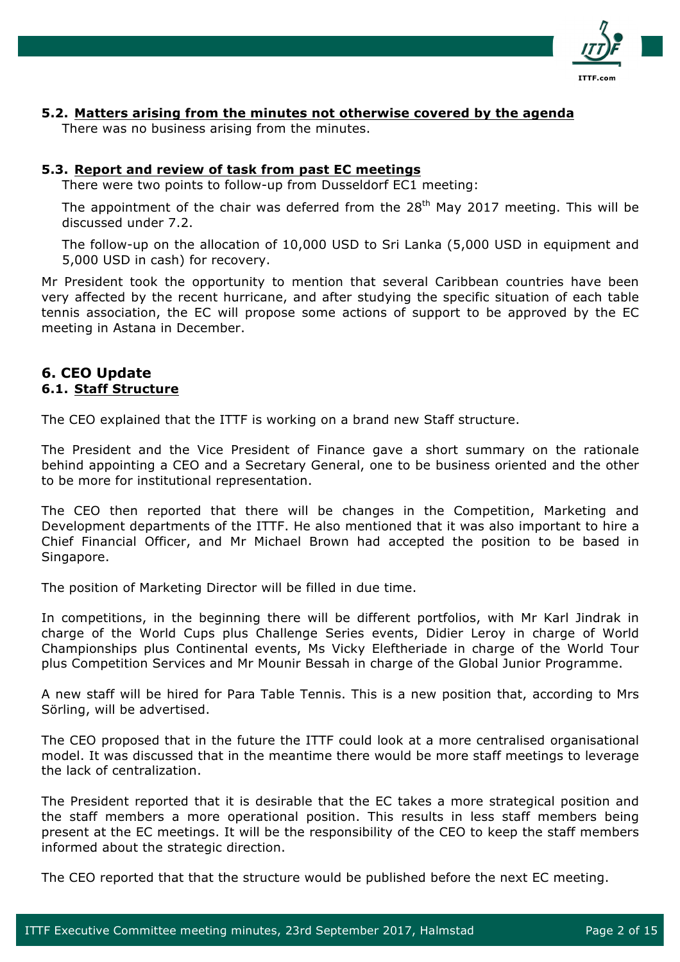

## **5.2. Matters arising from the minutes not otherwise covered by the agenda**

There was no business arising from the minutes.

## **5.3. Report and review of task from past EC meetings**

There were two points to follow-up from Dusseldorf EC1 meeting:

The appointment of the chair was deferred from the  $28<sup>th</sup>$  May 2017 meeting. This will be discussed under 7.2.

The follow-up on the allocation of 10,000 USD to Sri Lanka (5,000 USD in equipment and 5,000 USD in cash) for recovery.

Mr President took the opportunity to mention that several Caribbean countries have been very affected by the recent hurricane, and after studying the specific situation of each table tennis association, the EC will propose some actions of support to be approved by the EC meeting in Astana in December.

## **6. CEO Update 6.1. Staff Structure**

The CEO explained that the ITTF is working on a brand new Staff structure.

The President and the Vice President of Finance gave a short summary on the rationale behind appointing a CEO and a Secretary General, one to be business oriented and the other to be more for institutional representation.

The CEO then reported that there will be changes in the Competition, Marketing and Development departments of the ITTF. He also mentioned that it was also important to hire a Chief Financial Officer, and Mr Michael Brown had accepted the position to be based in Singapore.

The position of Marketing Director will be filled in due time.

In competitions, in the beginning there will be different portfolios, with Mr Karl Jindrak in charge of the World Cups plus Challenge Series events, Didier Leroy in charge of World Championships plus Continental events, Ms Vicky Eleftheriade in charge of the World Tour plus Competition Services and Mr Mounir Bessah in charge of the Global Junior Programme.

A new staff will be hired for Para Table Tennis. This is a new position that, according to Mrs Sörling, will be advertised.

The CEO proposed that in the future the ITTF could look at a more centralised organisational model. It was discussed that in the meantime there would be more staff meetings to leverage the lack of centralization.

The President reported that it is desirable that the EC takes a more strategical position and the staff members a more operational position. This results in less staff members being present at the EC meetings. It will be the responsibility of the CEO to keep the staff members informed about the strategic direction.

The CEO reported that that the structure would be published before the next EC meeting.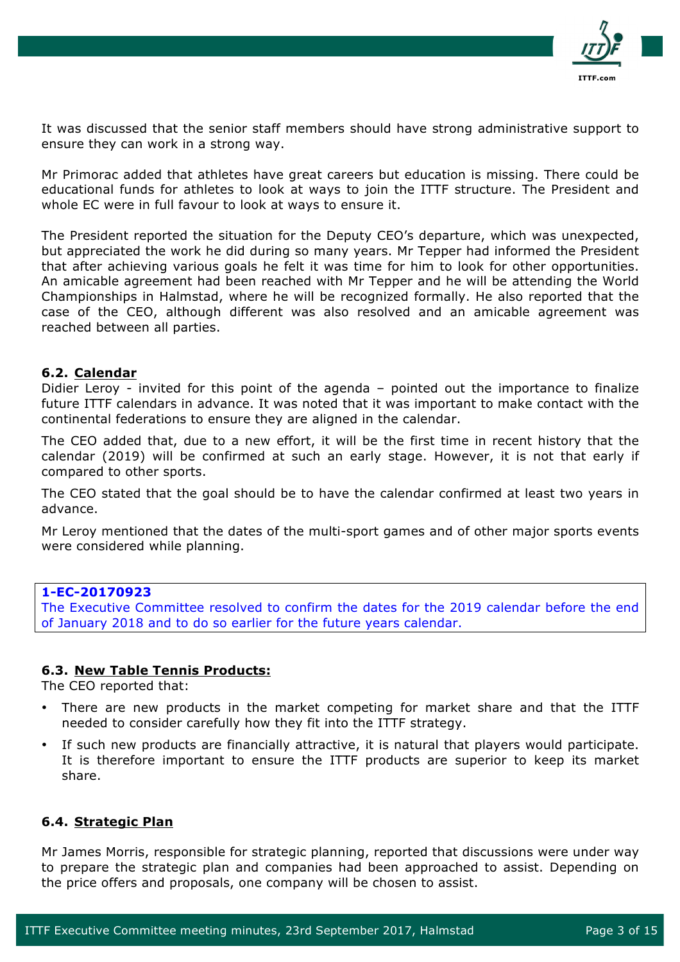

It was discussed that the senior staff members should have strong administrative support to ensure they can work in a strong way.

Mr Primorac added that athletes have great careers but education is missing. There could be educational funds for athletes to look at ways to join the ITTF structure. The President and whole EC were in full favour to look at ways to ensure it.

The President reported the situation for the Deputy CEO's departure, which was unexpected, but appreciated the work he did during so many years. Mr Tepper had informed the President that after achieving various goals he felt it was time for him to look for other opportunities. An amicable agreement had been reached with Mr Tepper and he will be attending the World Championships in Halmstad, where he will be recognized formally. He also reported that the case of the CEO, although different was also resolved and an amicable agreement was reached between all parties.

### **6.2. Calendar**

Didier Leroy - invited for this point of the agenda – pointed out the importance to finalize future ITTF calendars in advance. It was noted that it was important to make contact with the continental federations to ensure they are aligned in the calendar.

The CEO added that, due to a new effort, it will be the first time in recent history that the calendar (2019) will be confirmed at such an early stage. However, it is not that early if compared to other sports.

The CEO stated that the goal should be to have the calendar confirmed at least two years in advance.

Mr Leroy mentioned that the dates of the multi-sport games and of other major sports events were considered while planning.

## **1-EC-20170923**

The Executive Committee resolved to confirm the dates for the 2019 calendar before the end of January 2018 and to do so earlier for the future years calendar.

## **6.3. New Table Tennis Products:**

The CEO reported that:

- There are new products in the market competing for market share and that the ITTF needed to consider carefully how they fit into the ITTF strategy.
- If such new products are financially attractive, it is natural that players would participate. It is therefore important to ensure the ITTF products are superior to keep its market share.

## **6.4. Strategic Plan**

Mr James Morris, responsible for strategic planning, reported that discussions were under way to prepare the strategic plan and companies had been approached to assist. Depending on the price offers and proposals, one company will be chosen to assist.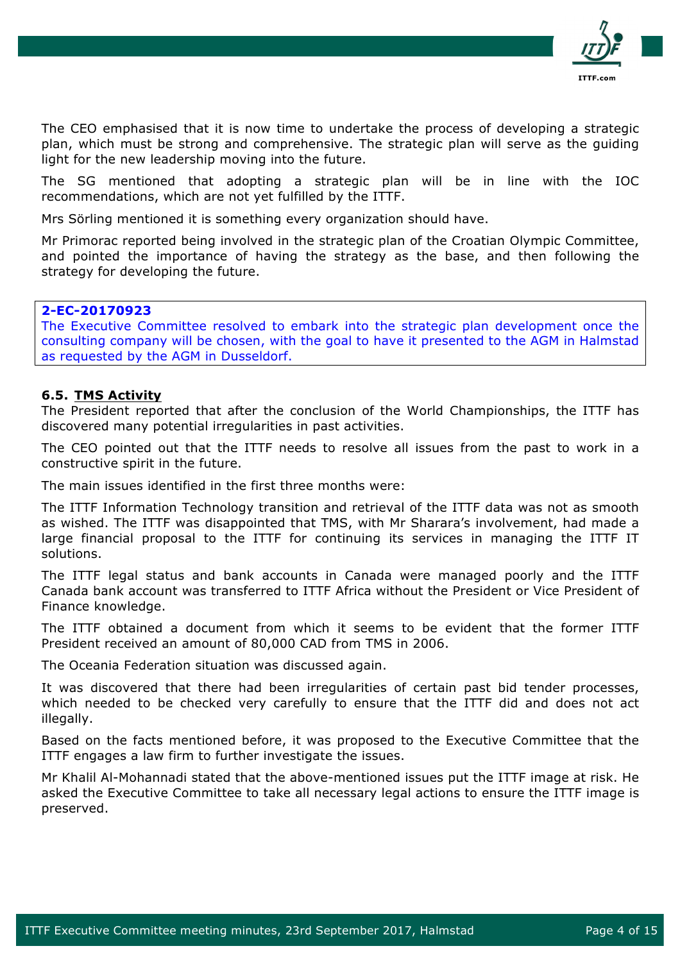

The CEO emphasised that it is now time to undertake the process of developing a strategic plan, which must be strong and comprehensive. The strategic plan will serve as the guiding light for the new leadership moving into the future.

The SG mentioned that adopting a strategic plan will be in line with the IOC recommendations, which are not yet fulfilled by the ITTF.

Mrs Sörling mentioned it is something every organization should have.

Mr Primorac reported being involved in the strategic plan of the Croatian Olympic Committee, and pointed the importance of having the strategy as the base, and then following the strategy for developing the future.

## **2-EC-20170923**

The Executive Committee resolved to embark into the strategic plan development once the consulting company will be chosen, with the goal to have it presented to the AGM in Halmstad as requested by the AGM in Dusseldorf.

#### **6.5. TMS Activity**

The President reported that after the conclusion of the World Championships, the ITTF has discovered many potential irregularities in past activities.

The CEO pointed out that the ITTF needs to resolve all issues from the past to work in a constructive spirit in the future.

The main issues identified in the first three months were:

The ITTF Information Technology transition and retrieval of the ITTF data was not as smooth as wished. The ITTF was disappointed that TMS, with Mr Sharara's involvement, had made a large financial proposal to the ITTF for continuing its services in managing the ITTF IT solutions.

The ITTF legal status and bank accounts in Canada were managed poorly and the ITTF Canada bank account was transferred to ITTF Africa without the President or Vice President of Finance knowledge.

The ITTF obtained a document from which it seems to be evident that the former ITTF President received an amount of 80,000 CAD from TMS in 2006.

The Oceania Federation situation was discussed again.

It was discovered that there had been irregularities of certain past bid tender processes, which needed to be checked very carefully to ensure that the ITTF did and does not act illegally.

Based on the facts mentioned before, it was proposed to the Executive Committee that the ITTF engages a law firm to further investigate the issues.

Mr Khalil Al-Mohannadi stated that the above-mentioned issues put the ITTF image at risk. He asked the Executive Committee to take all necessary legal actions to ensure the ITTF image is preserved.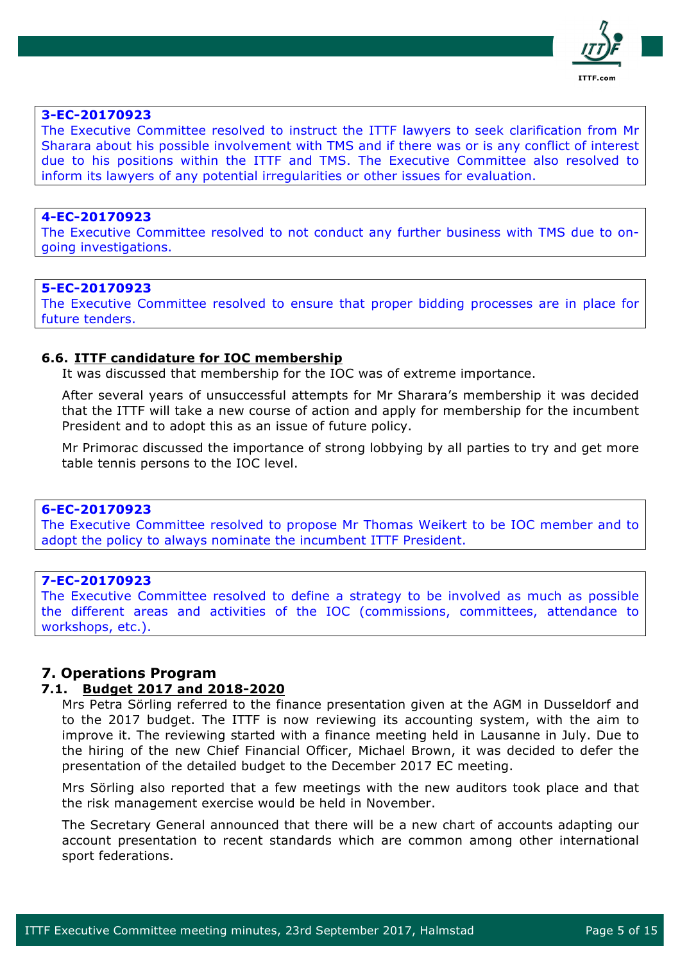

#### **3-EC-20170923**

The Executive Committee resolved to instruct the ITTF lawyers to seek clarification from Mr Sharara about his possible involvement with TMS and if there was or is any conflict of interest due to his positions within the ITTF and TMS. The Executive Committee also resolved to inform its lawyers of any potential irregularities or other issues for evaluation.

#### **4-EC-20170923**

The Executive Committee resolved to not conduct any further business with TMS due to ongoing investigations.

#### **5-EC-20170923**

The Executive Committee resolved to ensure that proper bidding processes are in place for future tenders.

#### **6.6. ITTF candidature for IOC membership**

It was discussed that membership for the IOC was of extreme importance.

After several years of unsuccessful attempts for Mr Sharara's membership it was decided that the ITTF will take a new course of action and apply for membership for the incumbent President and to adopt this as an issue of future policy.

Mr Primorac discussed the importance of strong lobbying by all parties to try and get more table tennis persons to the IOC level.

#### **6-EC-20170923**

The Executive Committee resolved to propose Mr Thomas Weikert to be IOC member and to adopt the policy to always nominate the incumbent ITTF President.

### **7-EC-20170923**

The Executive Committee resolved to define a strategy to be involved as much as possible the different areas and activities of the IOC (commissions, committees, attendance to workshops, etc.).

#### **7. Operations Program**

## **7.1. Budget 2017 and 2018-2020**

Mrs Petra Sörling referred to the finance presentation given at the AGM in Dusseldorf and to the 2017 budget. The ITTF is now reviewing its accounting system, with the aim to improve it. The reviewing started with a finance meeting held in Lausanne in July. Due to the hiring of the new Chief Financial Officer, Michael Brown, it was decided to defer the presentation of the detailed budget to the December 2017 EC meeting.

Mrs Sörling also reported that a few meetings with the new auditors took place and that the risk management exercise would be held in November.

The Secretary General announced that there will be a new chart of accounts adapting our account presentation to recent standards which are common among other international sport federations.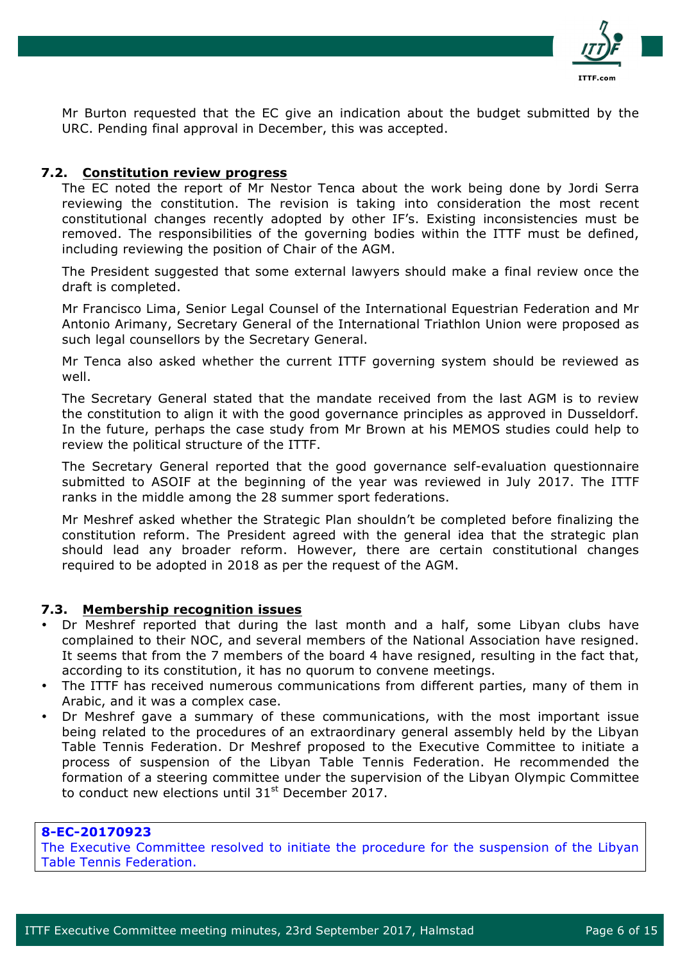

Mr Burton requested that the EC give an indication about the budget submitted by the URC. Pending final approval in December, this was accepted.

### **7.2. Constitution review progress**

The EC noted the report of Mr Nestor Tenca about the work being done by Jordi Serra reviewing the constitution. The revision is taking into consideration the most recent constitutional changes recently adopted by other IF's. Existing inconsistencies must be removed. The responsibilities of the governing bodies within the ITTF must be defined, including reviewing the position of Chair of the AGM.

The President suggested that some external lawyers should make a final review once the draft is completed.

Mr Francisco Lima, Senior Legal Counsel of the International Equestrian Federation and Mr Antonio Arimany, Secretary General of the International Triathlon Union were proposed as such legal counsellors by the Secretary General.

Mr Tenca also asked whether the current ITTF governing system should be reviewed as well.

The Secretary General stated that the mandate received from the last AGM is to review the constitution to align it with the good governance principles as approved in Dusseldorf. In the future, perhaps the case study from Mr Brown at his MEMOS studies could help to review the political structure of the ITTF.

The Secretary General reported that the good governance self-evaluation questionnaire submitted to ASOIF at the beginning of the year was reviewed in July 2017. The ITTF ranks in the middle among the 28 summer sport federations.

Mr Meshref asked whether the Strategic Plan shouldn't be completed before finalizing the constitution reform. The President agreed with the general idea that the strategic plan should lead any broader reform. However, there are certain constitutional changes required to be adopted in 2018 as per the request of the AGM.

#### **7.3. Membership recognition issues**

- Dr Meshref reported that during the last month and a half, some Libyan clubs have complained to their NOC, and several members of the National Association have resigned. It seems that from the 7 members of the board 4 have resigned, resulting in the fact that, according to its constitution, it has no quorum to convene meetings.
- The ITTF has received numerous communications from different parties, many of them in Arabic, and it was a complex case.
- Dr Meshref gave a summary of these communications, with the most important issue being related to the procedures of an extraordinary general assembly held by the Libyan Table Tennis Federation. Dr Meshref proposed to the Executive Committee to initiate a process of suspension of the Libyan Table Tennis Federation. He recommended the formation of a steering committee under the supervision of the Libyan Olympic Committee to conduct new elections until  $31<sup>st</sup>$  December 2017.

### **8-EC-20170923**

The Executive Committee resolved to initiate the procedure for the suspension of the Libyan Table Tennis Federation.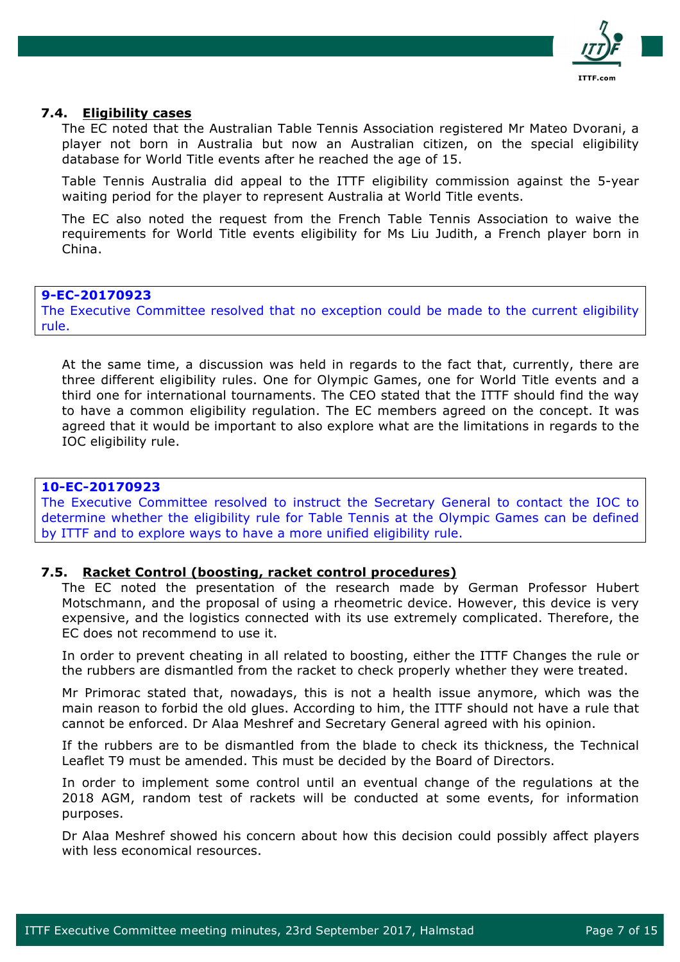

#### **7.4. Eligibility cases**

The EC noted that the Australian Table Tennis Association registered Mr Mateo Dvorani, a player not born in Australia but now an Australian citizen, on the special eligibility database for World Title events after he reached the age of 15.

Table Tennis Australia did appeal to the ITTF eligibility commission against the 5-year waiting period for the player to represent Australia at World Title events.

The EC also noted the request from the French Table Tennis Association to waive the requirements for World Title events eligibility for Ms Liu Judith, a French player born in China.

#### **9-EC-20170923**

The Executive Committee resolved that no exception could be made to the current eligibility rule.

At the same time, a discussion was held in regards to the fact that, currently, there are three different eligibility rules. One for Olympic Games, one for World Title events and a third one for international tournaments. The CEO stated that the ITTF should find the way to have a common eligibility regulation. The EC members agreed on the concept. It was agreed that it would be important to also explore what are the limitations in regards to the IOC eligibility rule.

## **10-EC-20170923**

The Executive Committee resolved to instruct the Secretary General to contact the IOC to determine whether the eligibility rule for Table Tennis at the Olympic Games can be defined by ITTF and to explore ways to have a more unified eligibility rule.

#### **7.5. Racket Control (boosting, racket control procedures)**

The EC noted the presentation of the research made by German Professor Hubert Motschmann, and the proposal of using a rheometric device. However, this device is very expensive, and the logistics connected with its use extremely complicated. Therefore, the EC does not recommend to use it.

In order to prevent cheating in all related to boosting, either the ITTF Changes the rule or the rubbers are dismantled from the racket to check properly whether they were treated.

Mr Primorac stated that, nowadays, this is not a health issue anymore, which was the main reason to forbid the old glues. According to him, the ITTF should not have a rule that cannot be enforced. Dr Alaa Meshref and Secretary General agreed with his opinion.

If the rubbers are to be dismantled from the blade to check its thickness, the Technical Leaflet T9 must be amended. This must be decided by the Board of Directors.

In order to implement some control until an eventual change of the regulations at the 2018 AGM, random test of rackets will be conducted at some events, for information purposes.

Dr Alaa Meshref showed his concern about how this decision could possibly affect players with less economical resources.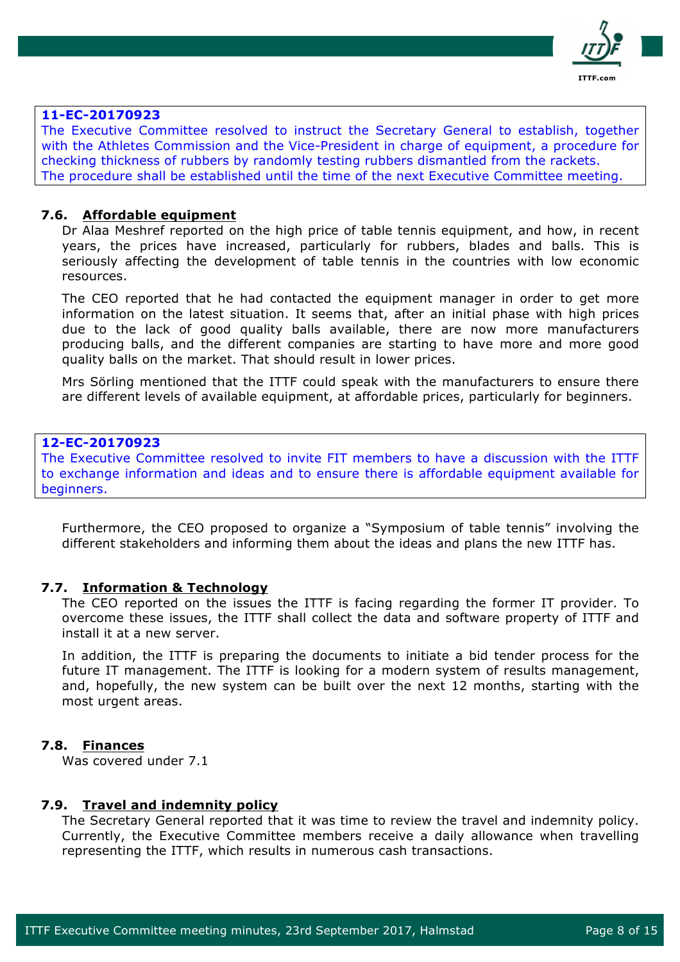

### **11-EC-20170923**

The Executive Committee resolved to instruct the Secretary General to establish, together with the Athletes Commission and the Vice-President in charge of equipment, a procedure for checking thickness of rubbers by randomly testing rubbers dismantled from the rackets. The procedure shall be established until the time of the next Executive Committee meeting.

### **7.6. Affordable equipment**

Dr Alaa Meshref reported on the high price of table tennis equipment, and how, in recent years, the prices have increased, particularly for rubbers, blades and balls. This is seriously affecting the development of table tennis in the countries with low economic resources.

The CEO reported that he had contacted the equipment manager in order to get more information on the latest situation. It seems that, after an initial phase with high prices due to the lack of good quality balls available, there are now more manufacturers producing balls, and the different companies are starting to have more and more good quality balls on the market. That should result in lower prices.

Mrs Sörling mentioned that the ITTF could speak with the manufacturers to ensure there are different levels of available equipment, at affordable prices, particularly for beginners.

### **12-EC-20170923**

The Executive Committee resolved to invite FIT members to have a discussion with the ITTF to exchange information and ideas and to ensure there is affordable equipment available for beginners.

Furthermore, the CEO proposed to organize a "Symposium of table tennis" involving the different stakeholders and informing them about the ideas and plans the new ITTF has.

#### **7.7. Information & Technology**

The CEO reported on the issues the ITTF is facing regarding the former IT provider. To overcome these issues, the ITTF shall collect the data and software property of ITTF and install it at a new server.

In addition, the ITTF is preparing the documents to initiate a bid tender process for the future IT management. The ITTF is looking for a modern system of results management, and, hopefully, the new system can be built over the next 12 months, starting with the most urgent areas.

#### **7.8. Finances**

Was covered under 7.1

#### **7.9. Travel and indemnity policy**

The Secretary General reported that it was time to review the travel and indemnity policy. Currently, the Executive Committee members receive a daily allowance when travelling representing the ITTF, which results in numerous cash transactions.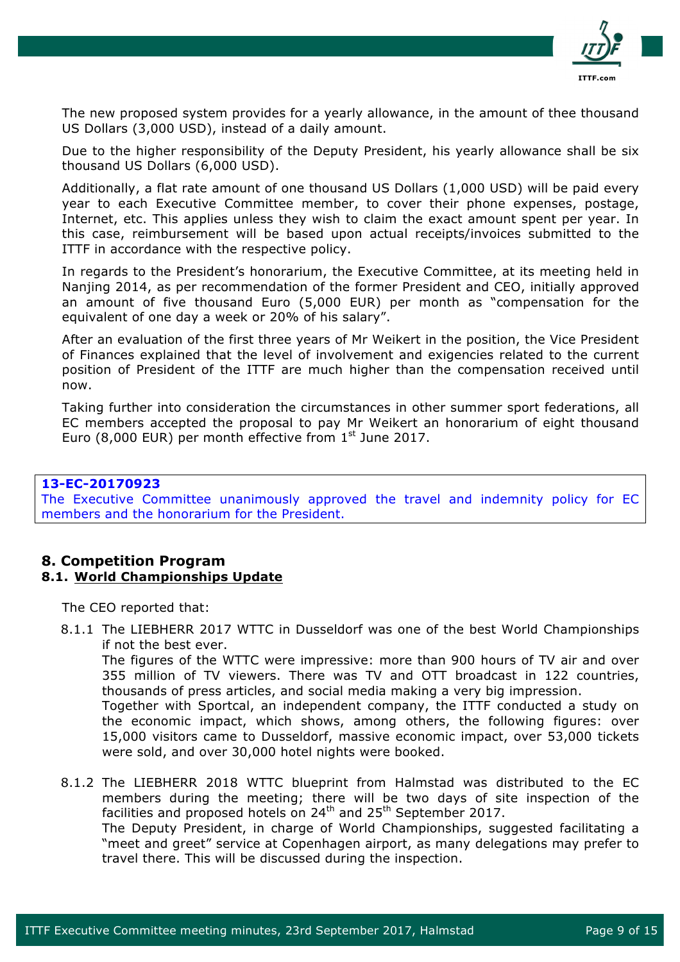

The new proposed system provides for a yearly allowance, in the amount of thee thousand US Dollars (3,000 USD), instead of a daily amount.

Due to the higher responsibility of the Deputy President, his yearly allowance shall be six thousand US Dollars (6,000 USD).

Additionally, a flat rate amount of one thousand US Dollars (1,000 USD) will be paid every year to each Executive Committee member, to cover their phone expenses, postage, Internet, etc. This applies unless they wish to claim the exact amount spent per year. In this case, reimbursement will be based upon actual receipts/invoices submitted to the ITTF in accordance with the respective policy.

In regards to the President's honorarium, the Executive Committee, at its meeting held in Nanjing 2014, as per recommendation of the former President and CEO, initially approved an amount of five thousand Euro (5,000 EUR) per month as "compensation for the equivalent of one day a week or 20% of his salary".

After an evaluation of the first three years of Mr Weikert in the position, the Vice President of Finances explained that the level of involvement and exigencies related to the current position of President of the ITTF are much higher than the compensation received until now.

Taking further into consideration the circumstances in other summer sport federations, all EC members accepted the proposal to pay Mr Weikert an honorarium of eight thousand Euro (8,000 EUR) per month effective from  $1<sup>st</sup>$  June 2017.

## **13-EC-20170923**

The Executive Committee unanimously approved the travel and indemnity policy for EC members and the honorarium for the President.

### **8. Competition Program 8.1. World Championships Update**

The CEO reported that:

8.1.1 The LIEBHERR 2017 WTTC in Dusseldorf was one of the best World Championships if not the best ever.

The figures of the WTTC were impressive: more than 900 hours of TV air and over 355 million of TV viewers. There was TV and OTT broadcast in 122 countries, thousands of press articles, and social media making a very big impression.

Together with Sportcal, an independent company, the ITTF conducted a study on the economic impact, which shows, among others, the following figures: over 15,000 visitors came to Dusseldorf, massive economic impact, over 53,000 tickets were sold, and over 30,000 hotel nights were booked.

8.1.2 The LIEBHERR 2018 WTTC blueprint from Halmstad was distributed to the EC members during the meeting; there will be two days of site inspection of the facilities and proposed hotels on  $24^{th}$  and  $25^{th}$  September 2017. The Deputy President, in charge of World Championships, suggested facilitating a

"meet and greet" service at Copenhagen airport, as many delegations may prefer to travel there. This will be discussed during the inspection.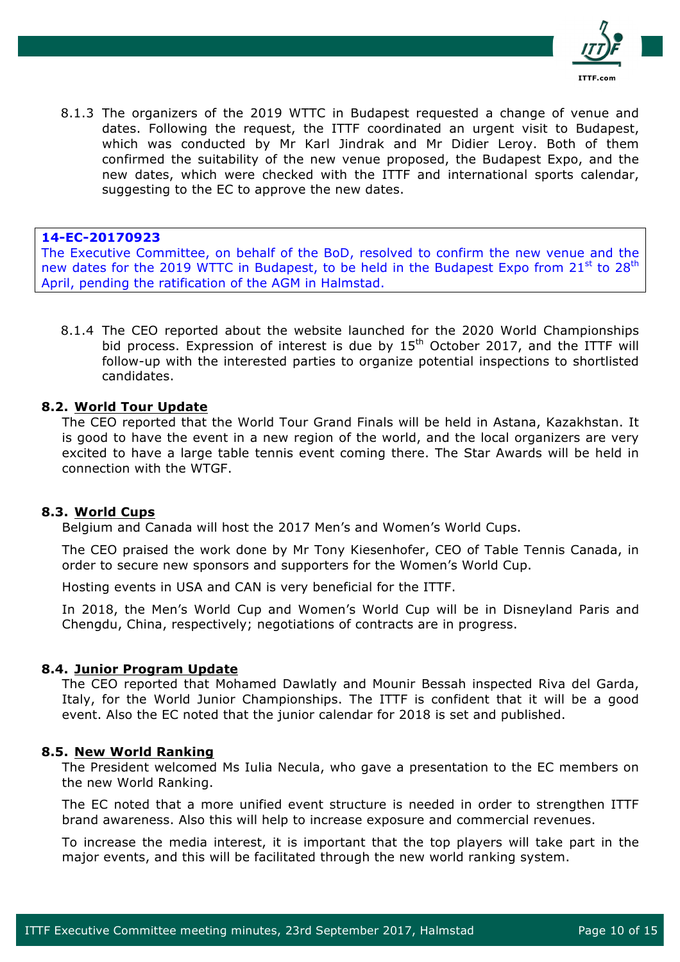

8.1.3 The organizers of the 2019 WTTC in Budapest requested a change of venue and dates. Following the request, the ITTF coordinated an urgent visit to Budapest, which was conducted by Mr Karl Jindrak and Mr Didier Leroy. Both of them confirmed the suitability of the new venue proposed, the Budapest Expo, and the new dates, which were checked with the ITTF and international sports calendar, suggesting to the EC to approve the new dates.

#### **14-EC-20170923**

The Executive Committee, on behalf of the BoD, resolved to confirm the new venue and the new dates for the 2019 WTTC in Budapest, to be held in the Budapest Expo from 21<sup>st</sup> to 28<sup>th</sup> April, pending the ratification of the AGM in Halmstad.

8.1.4 The CEO reported about the website launched for the 2020 World Championships bid process. Expression of interest is due by  $15<sup>th</sup>$  October 2017, and the ITTF will follow-up with the interested parties to organize potential inspections to shortlisted candidates.

### **8.2. World Tour Update**

The CEO reported that the World Tour Grand Finals will be held in Astana, Kazakhstan. It is good to have the event in a new region of the world, and the local organizers are very excited to have a large table tennis event coming there. The Star Awards will be held in connection with the WTGF.

#### **8.3. World Cups**

Belgium and Canada will host the 2017 Men's and Women's World Cups.

The CEO praised the work done by Mr Tony Kiesenhofer, CEO of Table Tennis Canada, in order to secure new sponsors and supporters for the Women's World Cup.

Hosting events in USA and CAN is very beneficial for the ITTF.

In 2018, the Men's World Cup and Women's World Cup will be in Disneyland Paris and Chengdu, China, respectively; negotiations of contracts are in progress.

#### **8.4. Junior Program Update**

The CEO reported that Mohamed Dawlatly and Mounir Bessah inspected Riva del Garda, Italy, for the World Junior Championships. The ITTF is confident that it will be a good event. Also the EC noted that the junior calendar for 2018 is set and published.

#### **8.5. New World Ranking**

The President welcomed Ms Iulia Necula, who gave a presentation to the EC members on the new World Ranking.

The EC noted that a more unified event structure is needed in order to strengthen ITTF brand awareness. Also this will help to increase exposure and commercial revenues.

To increase the media interest, it is important that the top players will take part in the major events, and this will be facilitated through the new world ranking system.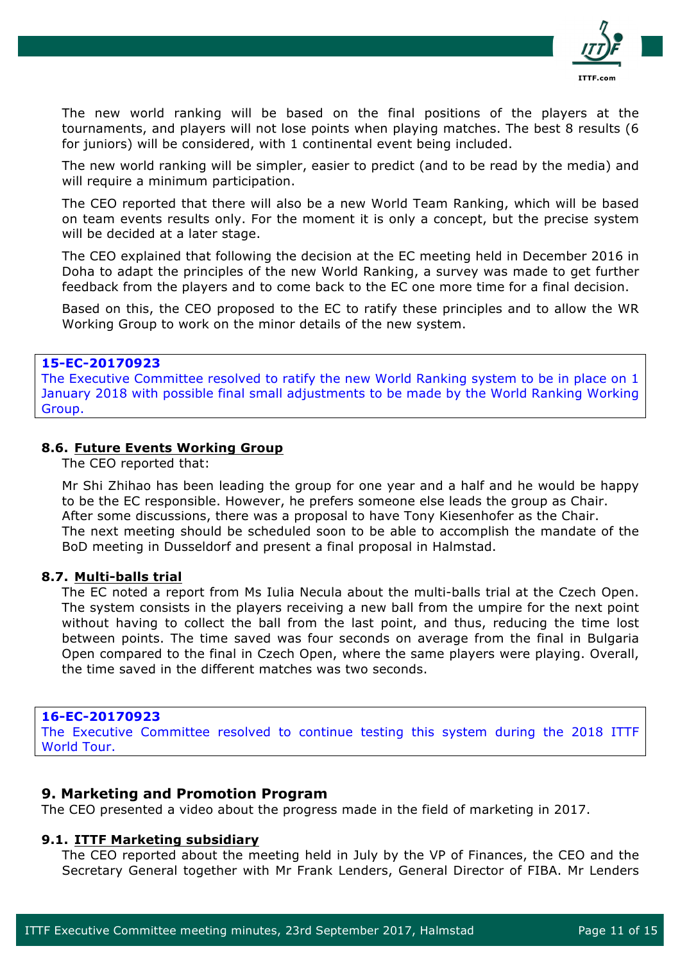

The new world ranking will be based on the final positions of the players at the tournaments, and players will not lose points when playing matches. The best 8 results (6 for juniors) will be considered, with 1 continental event being included.

The new world ranking will be simpler, easier to predict (and to be read by the media) and will require a minimum participation.

The CEO reported that there will also be a new World Team Ranking, which will be based on team events results only. For the moment it is only a concept, but the precise system will be decided at a later stage.

The CEO explained that following the decision at the EC meeting held in December 2016 in Doha to adapt the principles of the new World Ranking, a survey was made to get further feedback from the players and to come back to the EC one more time for a final decision.

Based on this, the CEO proposed to the EC to ratify these principles and to allow the WR Working Group to work on the minor details of the new system.

### **15-EC-20170923**

The Executive Committee resolved to ratify the new World Ranking system to be in place on 1 January 2018 with possible final small adjustments to be made by the World Ranking Working Group.

### **8.6. Future Events Working Group**

The CEO reported that:

Mr Shi Zhihao has been leading the group for one year and a half and he would be happy to be the EC responsible. However, he prefers someone else leads the group as Chair. After some discussions, there was a proposal to have Tony Kiesenhofer as the Chair. The next meeting should be scheduled soon to be able to accomplish the mandate of the BoD meeting in Dusseldorf and present a final proposal in Halmstad.

#### **8.7. Multi-balls trial**

The EC noted a report from Ms Iulia Necula about the multi-balls trial at the Czech Open. The system consists in the players receiving a new ball from the umpire for the next point without having to collect the ball from the last point, and thus, reducing the time lost between points. The time saved was four seconds on average from the final in Bulgaria Open compared to the final in Czech Open, where the same players were playing. Overall, the time saved in the different matches was two seconds.

#### **16-EC-20170923**

The Executive Committee resolved to continue testing this system during the 2018 ITTF World Tour.

### **9. Marketing and Promotion Program**

The CEO presented a video about the progress made in the field of marketing in 2017.

#### **9.1. ITTF Marketing subsidiary**

The CEO reported about the meeting held in July by the VP of Finances, the CEO and the Secretary General together with Mr Frank Lenders, General Director of FIBA. Mr Lenders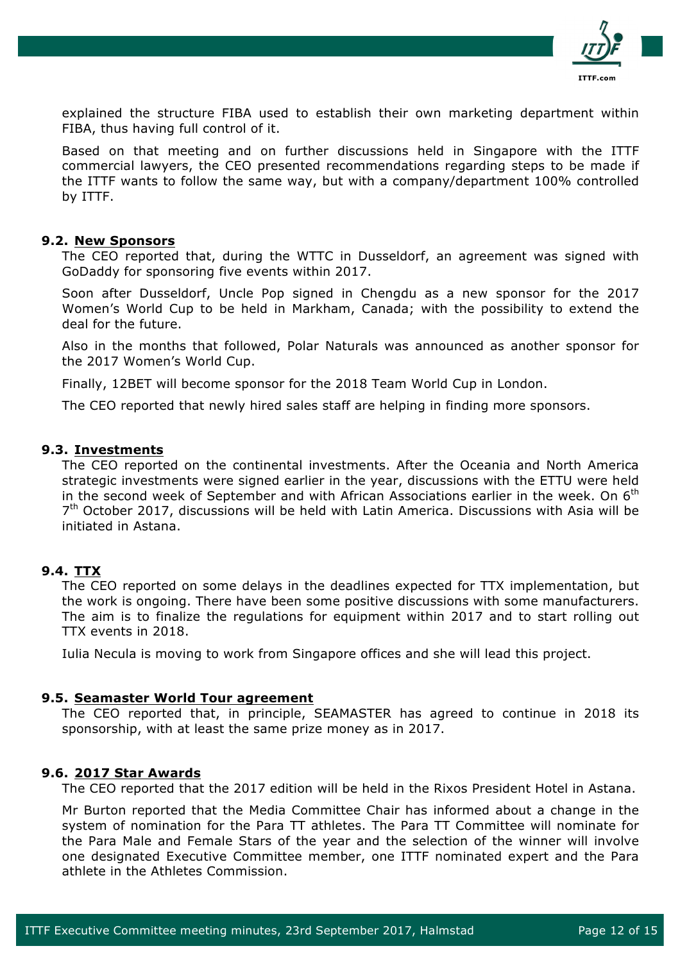

explained the structure FIBA used to establish their own marketing department within FIBA, thus having full control of it.

Based on that meeting and on further discussions held in Singapore with the ITTF commercial lawyers, the CEO presented recommendations regarding steps to be made if the ITTF wants to follow the same way, but with a company/department 100% controlled by ITTF.

#### **9.2. New Sponsors**

The CEO reported that, during the WTTC in Dusseldorf, an agreement was signed with GoDaddy for sponsoring five events within 2017.

Soon after Dusseldorf, Uncle Pop signed in Chengdu as a new sponsor for the 2017 Women's World Cup to be held in Markham, Canada; with the possibility to extend the deal for the future.

Also in the months that followed, Polar Naturals was announced as another sponsor for the 2017 Women's World Cup.

Finally, 12BET will become sponsor for the 2018 Team World Cup in London.

The CEO reported that newly hired sales staff are helping in finding more sponsors.

### **9.3. Investments**

The CEO reported on the continental investments. After the Oceania and North America strategic investments were signed earlier in the year, discussions with the ETTU were held in the second week of September and with African Associations earlier in the week. On  $6<sup>th</sup>$  $7<sup>th</sup>$  October 2017, discussions will be held with Latin America. Discussions with Asia will be initiated in Astana.

## **9.4. TTX**

The CEO reported on some delays in the deadlines expected for TTX implementation, but the work is ongoing. There have been some positive discussions with some manufacturers. The aim is to finalize the regulations for equipment within 2017 and to start rolling out TTX events in 2018.

Iulia Necula is moving to work from Singapore offices and she will lead this project.

#### **9.5. Seamaster World Tour agreement**

The CEO reported that, in principle, SEAMASTER has agreed to continue in 2018 its sponsorship, with at least the same prize money as in 2017.

#### **9.6. 2017 Star Awards**

The CEO reported that the 2017 edition will be held in the Rixos President Hotel in Astana.

Mr Burton reported that the Media Committee Chair has informed about a change in the system of nomination for the Para TT athletes. The Para TT Committee will nominate for the Para Male and Female Stars of the year and the selection of the winner will involve one designated Executive Committee member, one ITTF nominated expert and the Para athlete in the Athletes Commission.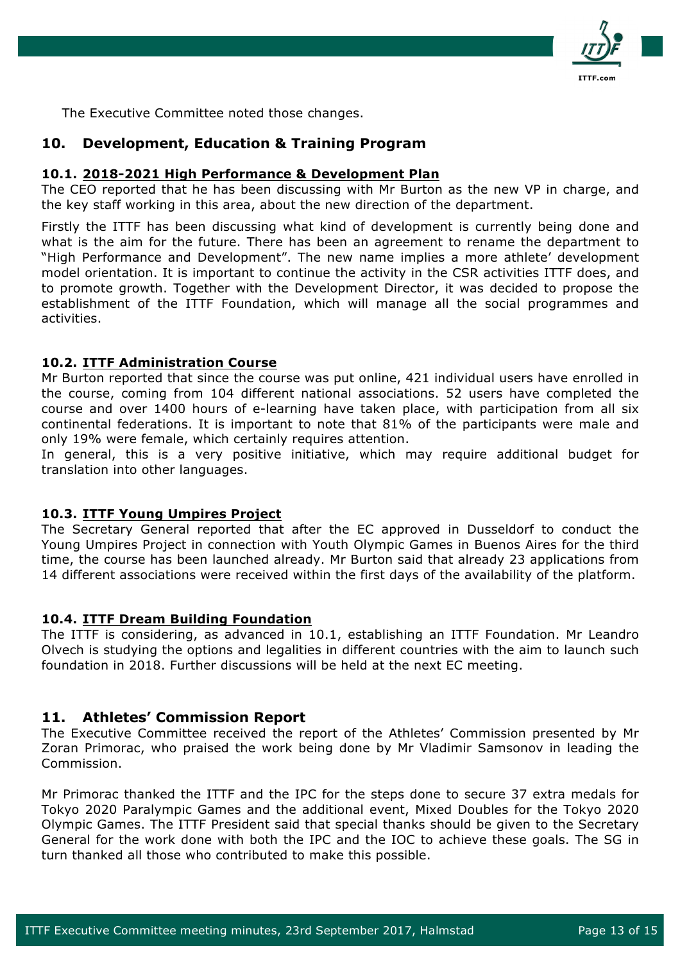

The Executive Committee noted those changes.

## **10. Development, Education & Training Program**

#### **10.1. 2018-2021 High Performance & Development Plan**

The CEO reported that he has been discussing with Mr Burton as the new VP in charge, and the key staff working in this area, about the new direction of the department.

Firstly the ITTF has been discussing what kind of development is currently being done and what is the aim for the future. There has been an agreement to rename the department to "High Performance and Development". The new name implies a more athlete' development model orientation. It is important to continue the activity in the CSR activities ITTF does, and to promote growth. Together with the Development Director, it was decided to propose the establishment of the ITTF Foundation, which will manage all the social programmes and activities.

### **10.2. ITTF Administration Course**

Mr Burton reported that since the course was put online, 421 individual users have enrolled in the course, coming from 104 different national associations. 52 users have completed the course and over 1400 hours of e-learning have taken place, with participation from all six continental federations. It is important to note that 81% of the participants were male and only 19% were female, which certainly requires attention.

In general, this is a very positive initiative, which may require additional budget for translation into other languages.

## **10.3. ITTF Young Umpires Project**

The Secretary General reported that after the EC approved in Dusseldorf to conduct the Young Umpires Project in connection with Youth Olympic Games in Buenos Aires for the third time, the course has been launched already. Mr Burton said that already 23 applications from 14 different associations were received within the first days of the availability of the platform.

## **10.4. ITTF Dream Building Foundation**

The ITTF is considering, as advanced in 10.1, establishing an ITTF Foundation. Mr Leandro Olvech is studying the options and legalities in different countries with the aim to launch such foundation in 2018. Further discussions will be held at the next EC meeting.

## **11. Athletes' Commission Report**

The Executive Committee received the report of the Athletes' Commission presented by Mr Zoran Primorac, who praised the work being done by Mr Vladimir Samsonov in leading the Commission.

Mr Primorac thanked the ITTF and the IPC for the steps done to secure 37 extra medals for Tokyo 2020 Paralympic Games and the additional event, Mixed Doubles for the Tokyo 2020 Olympic Games. The ITTF President said that special thanks should be given to the Secretary General for the work done with both the IPC and the IOC to achieve these goals. The SG in turn thanked all those who contributed to make this possible.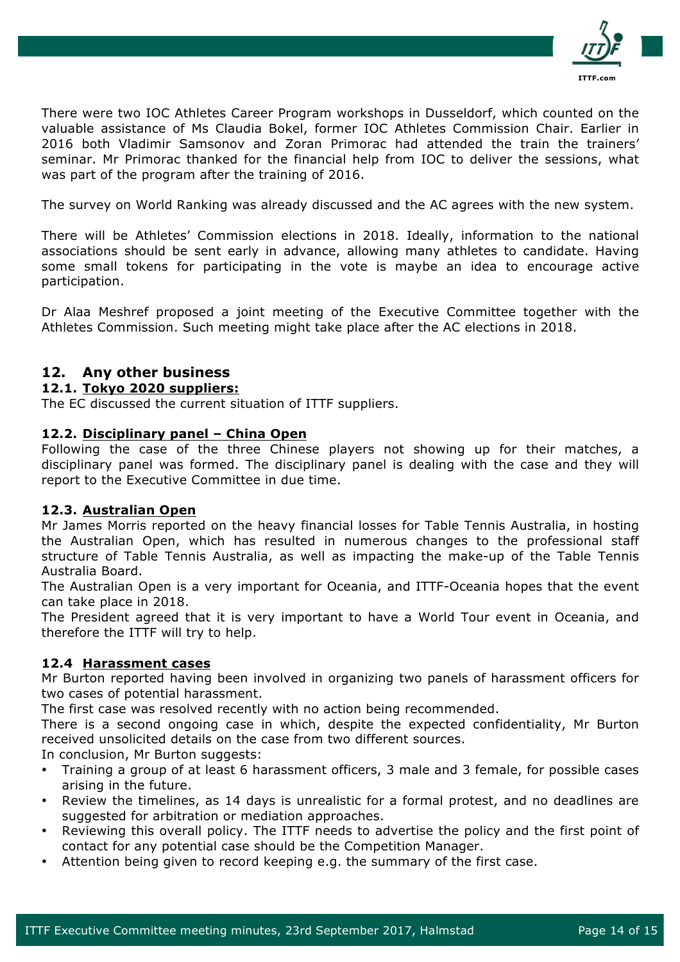

There were two IOC Athletes Career Program workshops in Dusseldorf, which counted on the valuable assistance of Ms Claudia Bokel, former IOC Athletes Commission Chair. Earlier in 2016 both Vladimir Samsonov and Zoran Primorac had attended the train the trainers' seminar. Mr Primorac thanked for the financial help from IOC to deliver the sessions, what was part of the program after the training of 2016.

The survey on World Ranking was already discussed and the AC agrees with the new system.

There will be Athletes' Commission elections in 2018. Ideally, information to the national associations should be sent early in advance, allowing many athletes to candidate. Having some small tokens for participating in the vote is maybe an idea to encourage active participation.

Dr Alaa Meshref proposed a joint meeting of the Executive Committee together with the Athletes Commission. Such meeting might take place after the AC elections in 2018.

## **12. Any other business**

### **12.1. Tokyo 2020 suppliers:**

The EC discussed the current situation of ITTF suppliers.

### **12.2. Disciplinary panel – China Open**

Following the case of the three Chinese players not showing up for their matches, a disciplinary panel was formed. The disciplinary panel is dealing with the case and they will report to the Executive Committee in due time.

#### **12.3. Australian Open**

Mr James Morris reported on the heavy financial losses for Table Tennis Australia, in hosting the Australian Open, which has resulted in numerous changes to the professional staff structure of Table Tennis Australia, as well as impacting the make-up of the Table Tennis Australia Board.

The Australian Open is a very important for Oceania, and ITTF-Oceania hopes that the event can take place in 2018.

The President agreed that it is very important to have a World Tour event in Oceania, and therefore the ITTF will try to help.

## **12.4 Harassment cases**

Mr Burton reported having been involved in organizing two panels of harassment officers for two cases of potential harassment.

The first case was resolved recently with no action being recommended.

There is a second ongoing case in which, despite the expected confidentiality, Mr Burton received unsolicited details on the case from two different sources.

In conclusion, Mr Burton suggests:

- Training a group of at least 6 harassment officers, 3 male and 3 female, for possible cases arising in the future.
- Review the timelines, as 14 days is unrealistic for a formal protest, and no deadlines are suggested for arbitration or mediation approaches.
- Reviewing this overall policy. The ITTF needs to advertise the policy and the first point of contact for any potential case should be the Competition Manager.
- Attention being given to record keeping e.g. the summary of the first case.